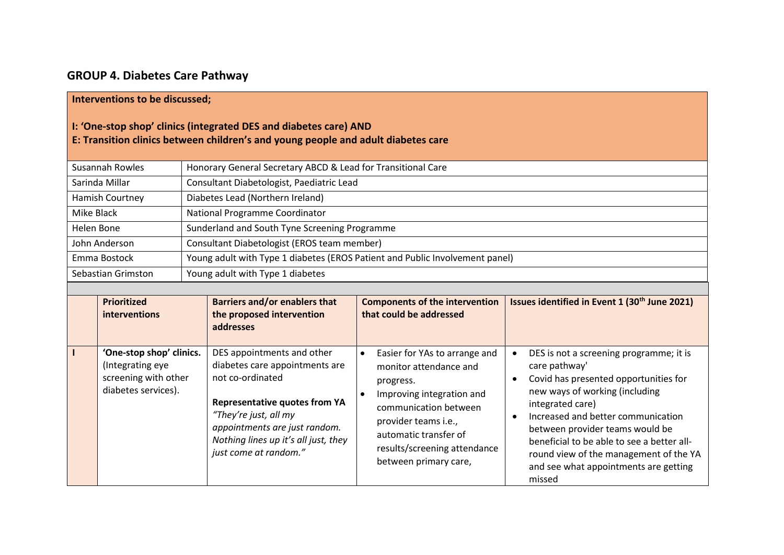## **GROUP 4. Diabetes Care Pathway**

## **Interventions to be discussed;**

## **I: 'One‐stop shop' clinics (integrated DES and diabetes care) AND**

## **E: Transition clinics between children's and young people and adult diabetes care**

| Susannah Rowles    | Honorary General Secretary ABCD & Lead for Transitional Care                 |
|--------------------|------------------------------------------------------------------------------|
| Sarinda Millar     | Consultant Diabetologist, Paediatric Lead                                    |
| Hamish Courtney    | Diabetes Lead (Northern Ireland)                                             |
| Mike Black         | National Programme Coordinator                                               |
| Helen Bone         | Sunderland and South Tyne Screening Programme                                |
| John Anderson      | Consultant Diabetologist (EROS team member)                                  |
| Emma Bostock       | Young adult with Type 1 diabetes (EROS Patient and Public Involvement panel) |
| Sebastian Grimston | Young adult with Type 1 diabetes                                             |

| <b>Prioritized</b><br>interventions                                                         | <b>Barriers and/or enablers that</b><br>the proposed intervention<br>addresses                                                                                                                                                                      | <b>Components of the intervention</b><br>that could be addressed                                                                                                                                                                          | Issues identified in Event 1 (30 <sup>th</sup> June 2021)                                                                                                                                                                                                                                                                                                                                                          |
|---------------------------------------------------------------------------------------------|-----------------------------------------------------------------------------------------------------------------------------------------------------------------------------------------------------------------------------------------------------|-------------------------------------------------------------------------------------------------------------------------------------------------------------------------------------------------------------------------------------------|--------------------------------------------------------------------------------------------------------------------------------------------------------------------------------------------------------------------------------------------------------------------------------------------------------------------------------------------------------------------------------------------------------------------|
| 'One-stop shop' clinics.<br>(Integrating eye<br>screening with other<br>diabetes services). | DES appointments and other<br>diabetes care appointments are<br>not co-ordinated<br><b>Representative quotes from YA</b><br>"They're just, all my<br>appointments are just random.<br>Nothing lines up it's all just, they<br>just come at random." | Easier for YAs to arrange and<br>٠<br>monitor attendance and<br>progress.<br>Improving integration and<br>communication between<br>provider teams i.e.,<br>automatic transfer of<br>results/screening attendance<br>between primary care, | DES is not a screening programme; it is<br>$\bullet$<br>care pathway'<br>Covid has presented opportunities for<br>$\bullet$<br>new ways of working (including<br>integrated care)<br>Increased and better communication<br>$\bullet$<br>between provider teams would be<br>beneficial to be able to see a better all-<br>round view of the management of the YA<br>and see what appointments are getting<br>missed |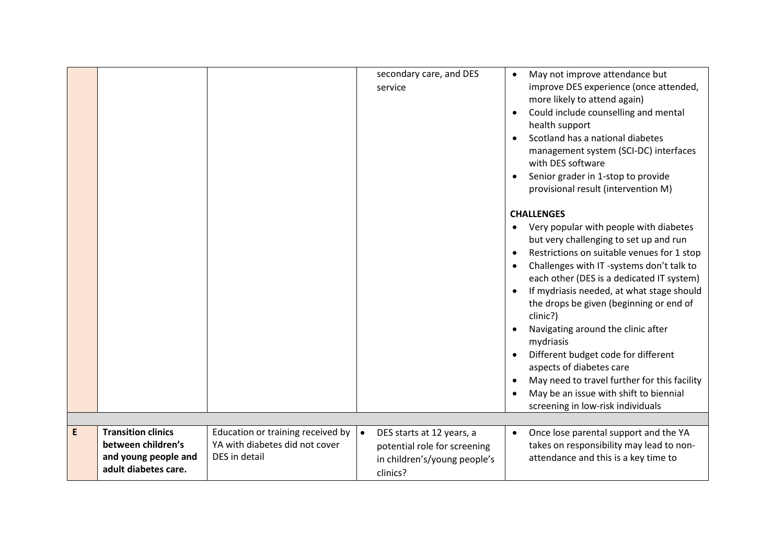|   |                                                                                                 |                                                                                      | secondary care, and DES<br>service                                                                                 | May not improve attendance but<br>$\bullet$<br>improve DES experience (once attended,<br>more likely to attend again)<br>Could include counselling and mental<br>health support<br>Scotland has a national diabetes<br>management system (SCI-DC) interfaces<br>with DES software<br>Senior grader in 1-stop to provide<br>provisional result (intervention M)                                                                                                                                                                                                                                         |
|---|-------------------------------------------------------------------------------------------------|--------------------------------------------------------------------------------------|--------------------------------------------------------------------------------------------------------------------|--------------------------------------------------------------------------------------------------------------------------------------------------------------------------------------------------------------------------------------------------------------------------------------------------------------------------------------------------------------------------------------------------------------------------------------------------------------------------------------------------------------------------------------------------------------------------------------------------------|
|   |                                                                                                 |                                                                                      |                                                                                                                    | <b>CHALLENGES</b><br>Very popular with people with diabetes<br>but very challenging to set up and run<br>Restrictions on suitable venues for 1 stop<br>Challenges with IT -systems don't talk to<br>each other (DES is a dedicated IT system)<br>If mydriasis needed, at what stage should<br>the drops be given (beginning or end of<br>clinic?)<br>Navigating around the clinic after<br>mydriasis<br>Different budget code for different<br>aspects of diabetes care<br>May need to travel further for this facility<br>May be an issue with shift to biennial<br>screening in low-risk individuals |
| E | <b>Transition clinics</b><br>between children's<br>and young people and<br>adult diabetes care. | Education or training received by<br>YA with diabetes did not cover<br>DES in detail | DES starts at 12 years, a<br>$\bullet$<br>potential role for screening<br>in children's/young people's<br>clinics? | Once lose parental support and the YA<br>$\bullet$<br>takes on responsibility may lead to non-<br>attendance and this is a key time to                                                                                                                                                                                                                                                                                                                                                                                                                                                                 |